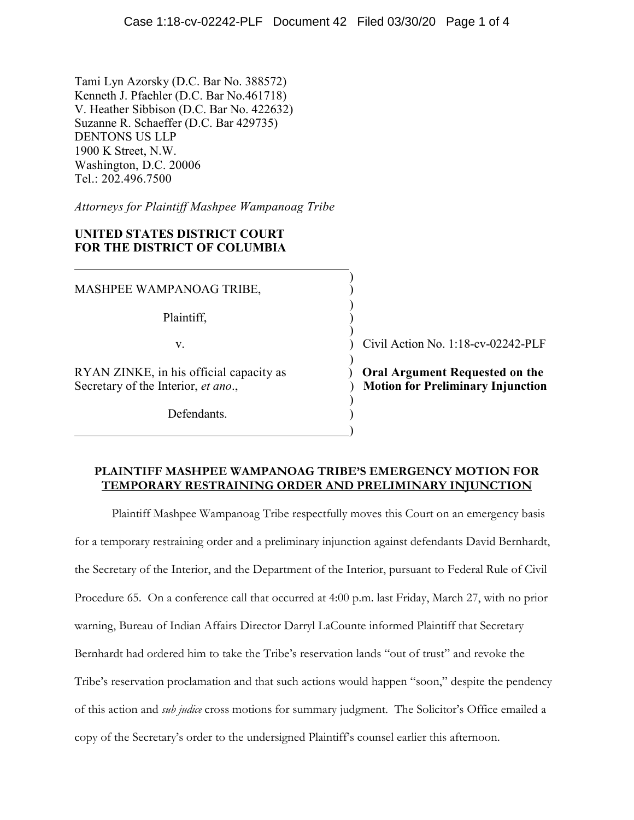Tami Lyn Azorsky (D.C. Bar No. 388572) Kenneth J. Pfaehler (D.C. Bar No.461718) V. Heather Sibbison (D.C. Bar No. 422632) Suzanne R. Schaeffer (D.C. Bar 429735) DENTONS US LLP 1900 K Street, N.W. Washington, D.C. 20006 Tel.: 202.496.7500

*Attorneys for Plaintiff Mashpee Wampanoag Tribe* 

## **UNITED STATES DISTRICT COURT FOR THE DISTRICT OF COLUMBIA**

MASHPEE WAMPANOAG TRIBE,

Plaintiff.

RYAN ZINKE, in his official capacity as ) **Oral Argument Requested on the** Secretary of the Interior, *et ano*., **) Motion for Preliminary Injunction** 

Defendants

v. ) Civil Action No. 1:18-cv-02242-PLF

### **PLAINTIFF MASHPEE WAMPANOAG TRIBE'S EMERGENCY MOTION FOR TEMPORARY RESTRAINING ORDER AND PRELIMINARY INJUNCTION**

)

)

)

)

)

)

Plaintiff Mashpee Wampanoag Tribe respectfully moves this Court on an emergency basis for a temporary restraining order and a preliminary injunction against defendants David Bernhardt, the Secretary of the Interior, and the Department of the Interior, pursuant to Federal Rule of Civil Procedure 65. On a conference call that occurred at 4:00 p.m. last Friday, March 27, with no prior warning, Bureau of Indian Affairs Director Darryl LaCounte informed Plaintiff that Secretary Bernhardt had ordered him to take the Tribe's reservation lands "out of trust" and revoke the Tribe's reservation proclamation and that such actions would happen "soon," despite the pendency of this action and *sub judice* cross motions for summary judgment. The Solicitor's Office emailed a copy of the Secretary's order to the undersigned Plaintiff's counsel earlier this afternoon.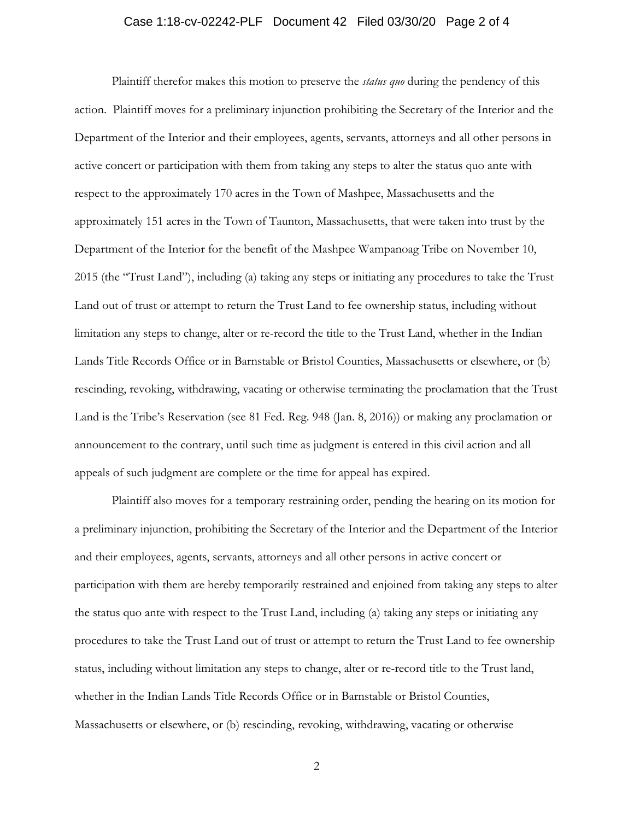#### Case 1:18-cv-02242-PLF Document 42 Filed 03/30/20 Page 2 of 4

Plaintiff therefor makes this motion to preserve the *status quo* during the pendency of this action. Plaintiff moves for a preliminary injunction prohibiting the Secretary of the Interior and the Department of the Interior and their employees, agents, servants, attorneys and all other persons in active concert or participation with them from taking any steps to alter the status quo ante with respect to the approximately 170 acres in the Town of Mashpee, Massachusetts and the approximately 151 acres in the Town of Taunton, Massachusetts, that were taken into trust by the Department of the Interior for the benefit of the Mashpee Wampanoag Tribe on November 10, 2015 (the "Trust Land"), including (a) taking any steps or initiating any procedures to take the Trust Land out of trust or attempt to return the Trust Land to fee ownership status, including without limitation any steps to change, alter or re-record the title to the Trust Land, whether in the Indian Lands Title Records Office or in Barnstable or Bristol Counties, Massachusetts or elsewhere, or (b) rescinding, revoking, withdrawing, vacating or otherwise terminating the proclamation that the Trust Land is the Tribe's Reservation (see 81 Fed. Reg. 948 (Jan. 8, 2016)) or making any proclamation or announcement to the contrary, until such time as judgment is entered in this civil action and all appeals of such judgment are complete or the time for appeal has expired.

Plaintiff also moves for a temporary restraining order, pending the hearing on its motion for a preliminary injunction, prohibiting the Secretary of the Interior and the Department of the Interior and their employees, agents, servants, attorneys and all other persons in active concert or participation with them are hereby temporarily restrained and enjoined from taking any steps to alter the status quo ante with respect to the Trust Land, including (a) taking any steps or initiating any procedures to take the Trust Land out of trust or attempt to return the Trust Land to fee ownership status, including without limitation any steps to change, alter or re-record title to the Trust land, whether in the Indian Lands Title Records Office or in Barnstable or Bristol Counties, Massachusetts or elsewhere, or (b) rescinding, revoking, withdrawing, vacating or otherwise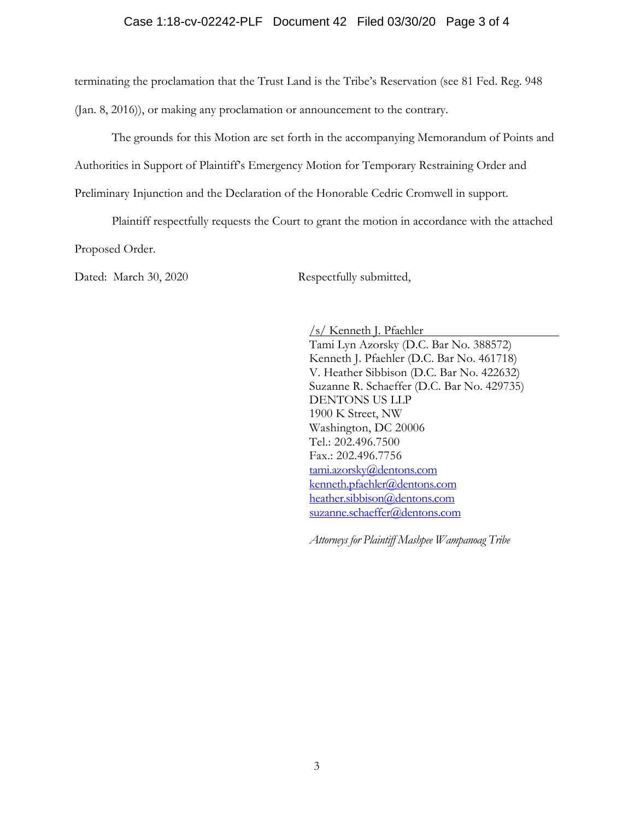#### Case 1:18-cv-02242-PLF Document 42 Filed 03/30/20 Page 3 of 4

terminating the proclamation that the Trust Land is the Tribe's Reservation (see 81 Fed. Reg. 948

(Jan. 8, 2016)), or making any proclamation or announcement to the contrary.

The grounds for this Motion are set forth in the accompanying Memorandum of Points and

Authorities in Support of Plaintiff's Emergency Motion for Temporary Restraining Order and

Preliminary Injunction and the Declaration of the Honorable Cedric Cromwell in support.

Plaintiff respectfully requests the Court to grant the motion in accordance with the attached Proposed Order.

Dated: March 30, 2020 Respectfully submitted,

/s/ Kenneth J. Pfaehler Tami Lyn Azorsky (D.C. Bar No. 388572) Kenneth J. Pfaehler (D.C. Bar No. 461718) V. Heather Sibbison (D.C. Bar No. 422632) Suzanne R. Schaeffer (D.C. Bar No. 429735) DENTONS US LLP 1900 K Street, NW Washington, DC 20006 Tel.: 202.496.7500 Fax.: 202.496.7756 tami.azorsky@dentons.com kenneth.pfaehler@dentons.com heather.sibbison@dentons.com suzanne.schaeffer@dentons.com

*Attorneys for Plaintiff Mashpee Wampanoag Tribe*